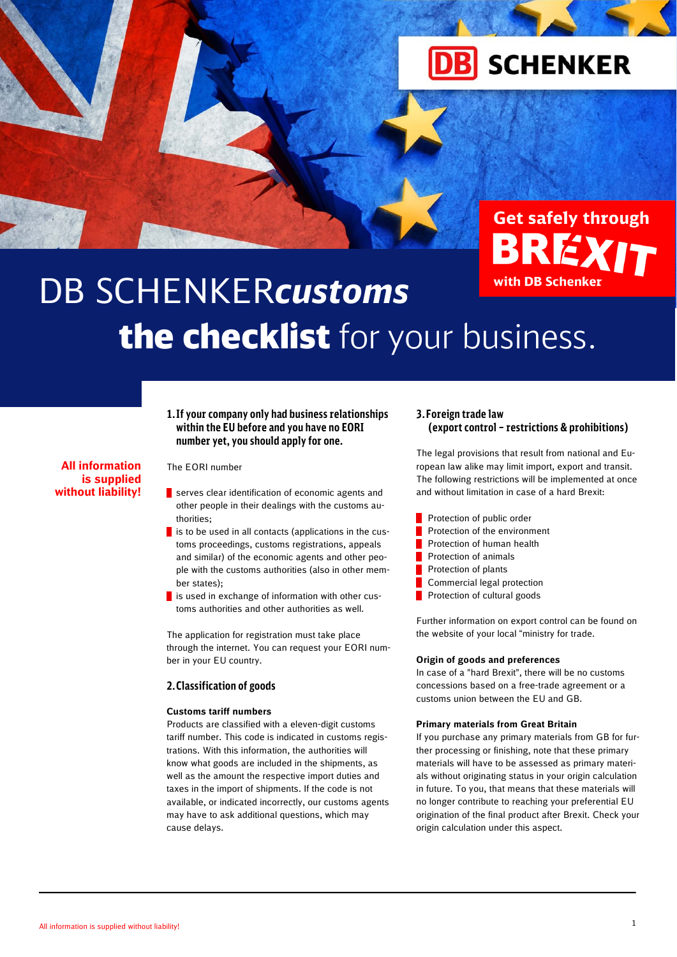

**Get safely through** 

A

# with DB Schenker DB SCHENKER*customs* the checklist for your business.

# **1.If your company only had business relationships within the EU before and you have no EORI number yet, you should apply for one.**

# **All information is supplied without liability!**

#### The EORI number

- serves clear identification of economic agents and other people in their dealings with the customs authorities;
- $\blacksquare$  is to be used in all contacts (applications in the customs proceedings, customs registrations, appeals and similar) of the economic agents and other people with the customs authorities (also in other member states);
- $\blacksquare$  is used in exchange of information with other customs authorities and other authorities as well.

The application for registration must take place through the internet. You can request your EORI number in your EU country.

### **2.Classification of goods**

# **Customs tariff numbers**

Products are classified with a eleven-digit customs tariff number. This code is indicated in customs registrations. With this information, the authorities will know what goods are included in the shipments, as well as the amount the respective import duties and taxes in the import of shipments. If the code is not available, or indicated incorrectly, our customs agents may have to ask additional questions, which may cause delays.

## **3.Foreign trade law (export control – restrictions & prohibitions)**

The legal provisions that result from national and European law alike may limit import, export and transit. The following restrictions will be implemented at once and without limitation in case of a hard Brexit:

- Protection of public order
- Protection of the environment
- Protection of human health
- Protection of animals
- Protection of plants
- Commercial legal protection
- Protection of cultural goods

Further information on export control can be found on the website of your local "ministry for trade.

#### **Origin of goods and preferences**

In case of a "hard Brexit", there will be no customs concessions based on a free-trade agreement or a customs union between the EU and GB.

#### **Primary materials from Great Britain**

If you purchase any primary materials from GB for further processing or finishing, note that these primary materials will have to be assessed as primary materials without originating status in your origin calculation in future. To you, that means that these materials will no longer contribute to reaching your preferential EU origination of the final product after Brexit. Check your origin calculation under this aspect.